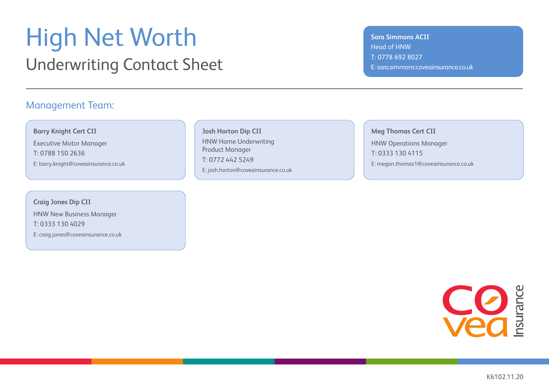### High Net Worth Underwriting Contact Sheet

### Management Team:

**Barry Knight Cert CII**

Executive Motor Manager T: 0788 150 2636 E: barry.knight@coveainsurance.co.uk

**Craig Jones Dip CII**  HNW New Business Manager T: 0333 130 4029 E: craig.jones@coveainsurance.co.uk

**Josh Horton Dip CII** HNW Home Underwriting Product Manager T: 0772 442 5249 E: josh.horton@coveainsurance.co.uk

**Sara Simmons ACII** Head of HNW T: 0778 692 8027 E: sara.simmons:coveainsurance.co.uk

**Meg Thomas Cert CII** HNW Operations Manager T: 0333 130 4115 E: megan.thomas1@coveainsurance.co.uk

**CO** 

K6102.11.20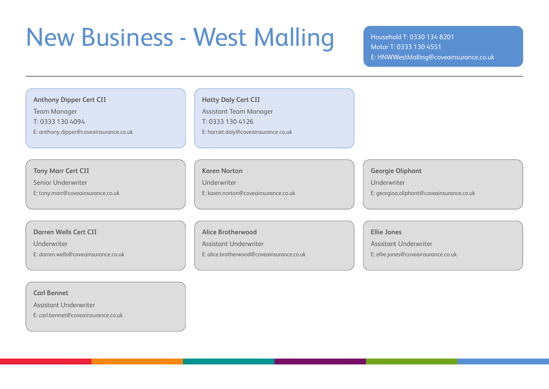## New Business - West Malling Household T: 0330 134 8201

Motor T: 0333 130 4551 E: HNWWestMalling@coveainsurance.co.uk

### **Anthony Dipper Cert CII**

Team Manager

T: 0333 130 4094

E: anthony.dipper@coveainsurance.co.uk

#### **Hatty Daly Cert CII**

Assistant Team Manager T: 0333 130 4126 E: harriet.daly@coveainsurance.co.uk

### **Tony Marr Cert CII**

Senior Underwriter

E: tony.marr@coveainsurance.co.uk

### **Karen Norton**

Underwriter

E: karen.norton@coveainsurance.co.uk

#### **Darren Wells Cert CII**

Underwriter

E: darren.wells@coveainsurance.co.uk

#### **Alice Brotherwood**

Assistant Underwriter

E: alice.brotherwood@coveainsurance.co.uk

#### **Georgie Oliphant**

Underwriter

E: georgina.oliphant@coveainsurance.co.uk

#### **Ellie Jones**

Assistant Underwriter

E: ellie.jones@coveainsurance.co.uk

**Carl Bennet**

Assistant Underwriter

E: carl.bennet@coveainsurance.co.uk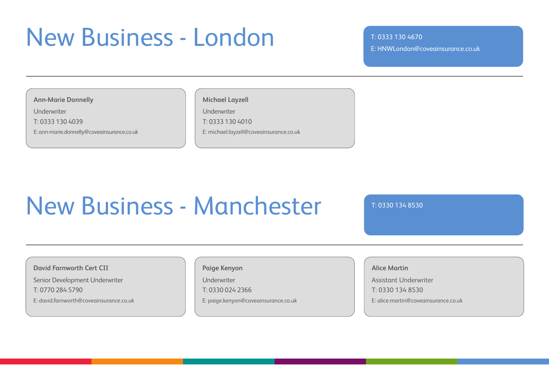### New Business - London T:0333 130 4670

E: HNWLondon@coveainsurance.co.uk

**Ann-Marie Donnelly**

Underwriter

T: 0333 130 4039

E: ann-marie.donnelly@coveainsurance.co.uk

### **Michael Layzell**

Underwriter T: 0333 130 4010

E: michael.layzell@coveainsurance.co.uk

# New Business - Manchester T:0330 134 8530

**David Farnworth Cert CII**

Senior Development Underwriter T: 0770 284 5790

E: david.farnworth@coveainsurance.co.uk

### **Paige Kenyon**

Underwriter

T: 0330 024 2366

E: paige.kenyon@coveainsurance.co.uk

### **Alice Martin**

Assistant Underwriter T: 0330 134 8530 E: alice.martin@coveainsurance.co.uk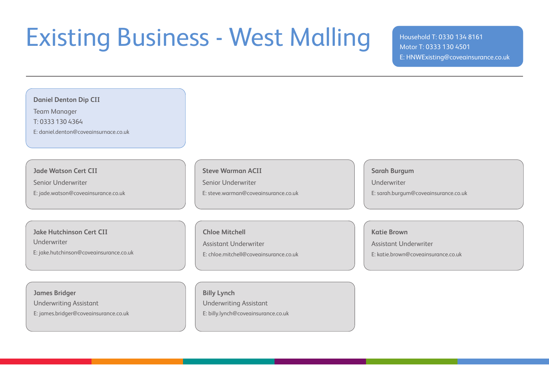# Existing Business - West Malling Household T: 0330 134 8161

Motor T: 0333 130 4501 E: HNWExisting@coveainsurance.co.uk

| <b>Daniel Denton Dip CII</b>            |                                        |                                      |
|-----------------------------------------|----------------------------------------|--------------------------------------|
| <b>Team Manager</b>                     |                                        |                                      |
| T: 0333 130 4364                        |                                        |                                      |
| E: daniel.denton@coveainsurnace.co.uk   |                                        |                                      |
|                                         |                                        |                                      |
|                                         |                                        |                                      |
| <b>Jade Watson Cert CII</b>             | <b>Steve Warman ACII</b>               | <b>Sarah Burgum</b>                  |
| Senior Underwriter                      | Senior Underwriter                     | Underwriter                          |
| E: jade.watson@coveainsurance.co.uk     | E: steve.warman@coveainsurance.co.uk   | E: sarah.burgum@coveainsurance.co.uk |
|                                         |                                        |                                      |
|                                         |                                        |                                      |
|                                         |                                        |                                      |
| <b>Jake Hutchinson Cert CII</b>         | <b>Chloe Mitchell</b>                  | <b>Katie Brown</b>                   |
| Underwriter                             | <b>Assistant Underwriter</b>           | <b>Assistant Underwriter</b>         |
| E: jake.hutchinson@coveainsurance.co.uk | E: chloe.mitchell@coveainsurance.co.uk | E: katie.brown@coveainsurance.co.uk  |
|                                         |                                        |                                      |
|                                         |                                        |                                      |
| <b>James Bridger</b>                    | <b>Billy Lynch</b>                     |                                      |
| <b>Underwriting Assistant</b>           | <b>Underwriting Assistant</b>          |                                      |
|                                         |                                        |                                      |
| E: james.bridger@coveainsurance.co.uk   | E: billy.lynch@coveainsurance.co.uk    |                                      |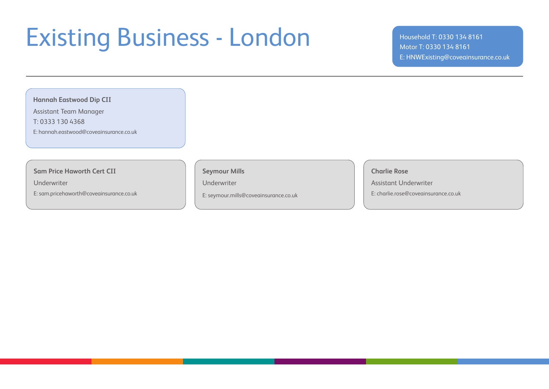### Existing Business - London Household T: 0330 134 8161

### Motor T: 0330 134 8161 E: HNWExisting@coveainsurance.co.uk

### **Hannah Eastwood Dip CII**

Assistant Team Manager

T: 0333 130 4368

E: hannah.eastwood@coveainsurance.co.uk

### **Sam Price Haworth Cert CII**

Underwriter

E: sam.pricehaworth@coveainsurance.co.uk

**Seymour Mills**

Underwriter

E: seymour.mills@coveainsurance.co.uk

**Charlie Rose**

Assistant Underwriter

E: charlie.rose@coveainsurance.co.uk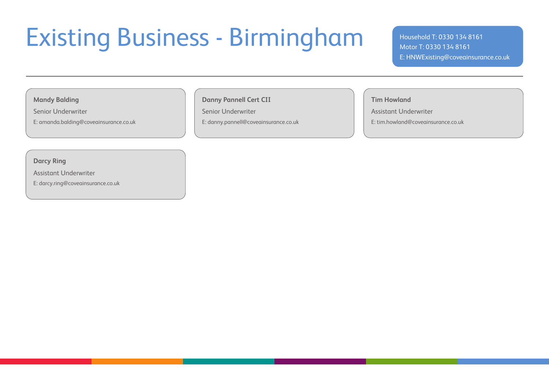## Existing Business - Birmingham Mousehold T: 0330 134 8161

#### **Mandy Balding**

Senior Underwriter

E: amanda.balding@coveainsurance.co.uk

### **Danny Pannell Cert CII**

Senior Underwriter E: danny.pannell@coveainsurance.co.uk **Tim Howland**

Assistant Underwriter

E: tim.howland@coveainsurance.co.uk

**Darcy Ring**

Assistant Underwriter

E: darcy.ring@coveainsurance.co.uk